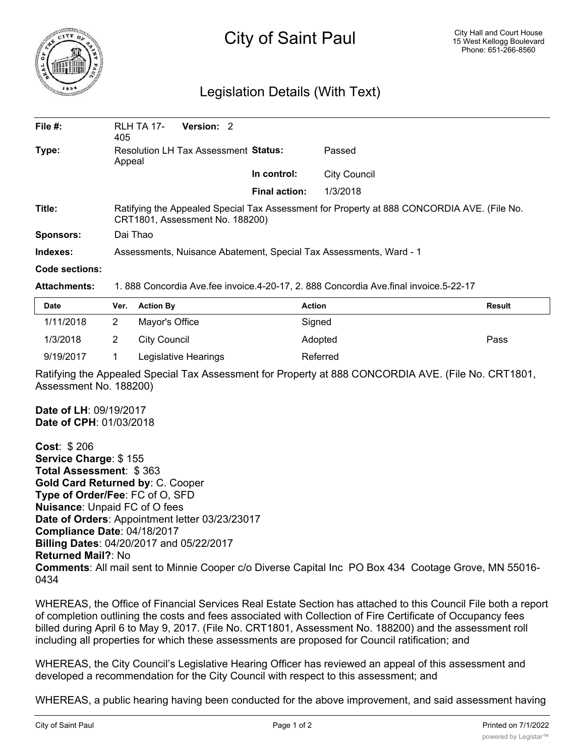

## City of Saint Paul

## Legislation Details (With Text)

| File $#$ :       | <b>RLH TA 17-</b><br>405                                                                                                      | Version: 2 |                      |                     |  |
|------------------|-------------------------------------------------------------------------------------------------------------------------------|------------|----------------------|---------------------|--|
| Type:            | Resolution LH Tax Assessment Status:<br>Appeal                                                                                |            |                      | Passed              |  |
|                  |                                                                                                                               |            | In control:          | <b>City Council</b> |  |
|                  |                                                                                                                               |            | <b>Final action:</b> | 1/3/2018            |  |
| Title:           | Ratifying the Appealed Special Tax Assessment for Property at 888 CONCORDIA AVE. (File No.<br>CRT1801, Assessment No. 188200) |            |                      |                     |  |
| <b>Sponsors:</b> | Dai Thao                                                                                                                      |            |                      |                     |  |
| Indexes:         | Assessments, Nuisance Abatement, Special Tax Assessments, Ward - 1                                                            |            |                      |                     |  |
| Code sections:   |                                                                                                                               |            |                      |                     |  |

**Attachments:** 1. 888 Concordia Ave.fee invoice.4-20-17, 2. 888 Concordia Ave.final invoice.5-22-17

| <b>Date</b> | Ver. Action By       | <b>Action</b> | Result |
|-------------|----------------------|---------------|--------|
| 1/11/2018   | Mayor's Office       | Signed        |        |
| 1/3/2018    | City Council         | Adopted       | Pass   |
| 9/19/2017   | Legislative Hearings | Referred      |        |

Ratifying the Appealed Special Tax Assessment for Property at 888 CONCORDIA AVE. (File No. CRT1801, Assessment No. 188200)

**Date of LH**: 09/19/2017 **Date of CPH**: 01/03/2018

**Cost**: \$ 206 **Service Charge**: \$ 155 **Total Assessment**: \$ 363 **Gold Card Returned by**: C. Cooper **Type of Order/Fee**: FC of O, SFD **Nuisance**: Unpaid FC of O fees **Date of Orders**: Appointment letter 03/23/23017 **Compliance Date**: 04/18/2017 **Billing Dates**: 04/20/2017 and 05/22/2017 **Returned Mail?**: No **Comments**: All mail sent to Minnie Cooper c/o Diverse Capital Inc PO Box 434 Cootage Grove, MN 55016- 0434

WHEREAS, the Office of Financial Services Real Estate Section has attached to this Council File both a report of completion outlining the costs and fees associated with Collection of Fire Certificate of Occupancy fees billed during April 6 to May 9, 2017. (File No. CRT1801, Assessment No. 188200) and the assessment roll including all properties for which these assessments are proposed for Council ratification; and

WHEREAS, the City Council's Legislative Hearing Officer has reviewed an appeal of this assessment and developed a recommendation for the City Council with respect to this assessment; and

WHEREAS, a public hearing having been conducted for the above improvement, and said assessment having